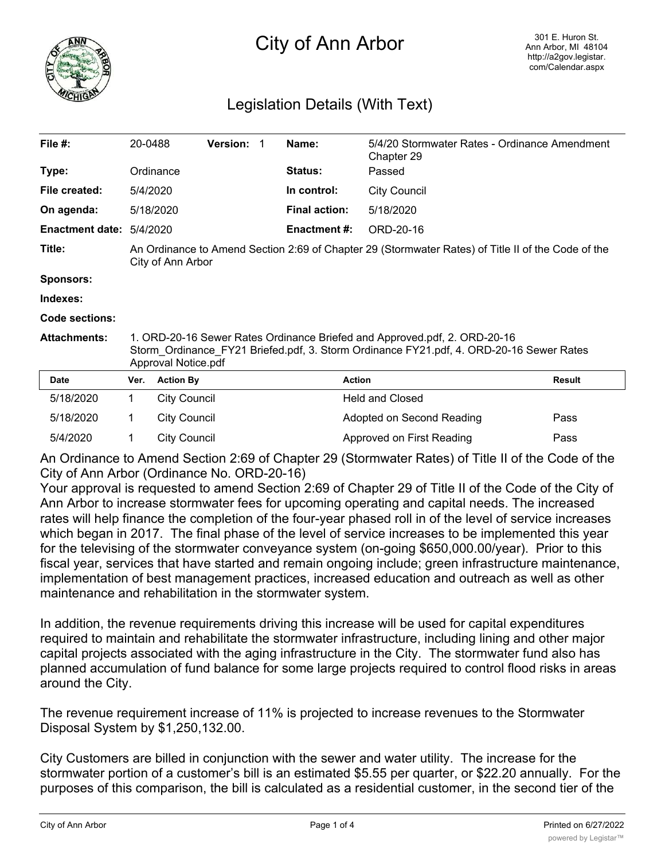

# City of Ann Arbor

## Legislation Details (With Text)

| File #:                | 20-0488                                                                                                                                                                                     |                                                                                                                         | <b>Version:</b> |  | Name:                | 5/4/20 Stormwater Rates - Ordinance Amendment<br>Chapter 29 |               |
|------------------------|---------------------------------------------------------------------------------------------------------------------------------------------------------------------------------------------|-------------------------------------------------------------------------------------------------------------------------|-----------------|--|----------------------|-------------------------------------------------------------|---------------|
| Type:                  |                                                                                                                                                                                             | Ordinance                                                                                                               |                 |  | <b>Status:</b>       | Passed                                                      |               |
| File created:          | 5/4/2020                                                                                                                                                                                    |                                                                                                                         |                 |  | In control:          | <b>City Council</b>                                         |               |
| On agenda:             |                                                                                                                                                                                             | 5/18/2020                                                                                                               |                 |  | <b>Final action:</b> | 5/18/2020                                                   |               |
| <b>Enactment date:</b> | 5/4/2020                                                                                                                                                                                    |                                                                                                                         |                 |  | <b>Enactment #:</b>  | ORD-20-16                                                   |               |
| Title:                 |                                                                                                                                                                                             | An Ordinance to Amend Section 2:69 of Chapter 29 (Stormwater Rates) of Title II of the Code of the<br>City of Ann Arbor |                 |  |                      |                                                             |               |
| <b>Sponsors:</b>       |                                                                                                                                                                                             |                                                                                                                         |                 |  |                      |                                                             |               |
| Indexes:               |                                                                                                                                                                                             |                                                                                                                         |                 |  |                      |                                                             |               |
| Code sections:         |                                                                                                                                                                                             |                                                                                                                         |                 |  |                      |                                                             |               |
| <b>Attachments:</b>    | 1. ORD-20-16 Sewer Rates Ordinance Briefed and Approved.pdf, 2. ORD-20-16<br>Storm Ordinance FY21 Briefed.pdf, 3. Storm Ordinance FY21.pdf, 4. ORD-20-16 Sewer Rates<br>Approval Notice.pdf |                                                                                                                         |                 |  |                      |                                                             |               |
| <b>Date</b>            | Ver.                                                                                                                                                                                        | <b>Action By</b>                                                                                                        |                 |  | <b>Action</b>        |                                                             | <b>Result</b> |
| 5/18/2020              | $\mathbf{1}$                                                                                                                                                                                | <b>City Council</b>                                                                                                     |                 |  |                      | <b>Held and Closed</b>                                      |               |
| 5/18/2020              | 1                                                                                                                                                                                           | <b>City Council</b>                                                                                                     |                 |  |                      | Adopted on Second Reading                                   | Pass          |

An Ordinance to Amend Section 2:69 of Chapter 29 (Stormwater Rates) of Title II of the Code of the City of Ann Arbor (Ordinance No. ORD-20-16)

5/4/2020 1 City Council 2008 Approved on First Reading Pass

Your approval is requested to amend Section 2:69 of Chapter 29 of Title II of the Code of the City of Ann Arbor to increase stormwater fees for upcoming operating and capital needs. The increased rates will help finance the completion of the four-year phased roll in of the level of service increases which began in 2017. The final phase of the level of service increases to be implemented this year for the televising of the stormwater conveyance system (on-going \$650,000.00/year). Prior to this fiscal year, services that have started and remain ongoing include; green infrastructure maintenance, implementation of best management practices, increased education and outreach as well as other maintenance and rehabilitation in the stormwater system.

In addition, the revenue requirements driving this increase will be used for capital expenditures required to maintain and rehabilitate the stormwater infrastructure, including lining and other major capital projects associated with the aging infrastructure in the City. The stormwater fund also has planned accumulation of fund balance for some large projects required to control flood risks in areas around the City.

The revenue requirement increase of 11% is projected to increase revenues to the Stormwater Disposal System by \$1,250,132.00.

City Customers are billed in conjunction with the sewer and water utility. The increase for the stormwater portion of a customer's bill is an estimated \$5.55 per quarter, or \$22.20 annually. For the purposes of this comparison, the bill is calculated as a residential customer, in the second tier of the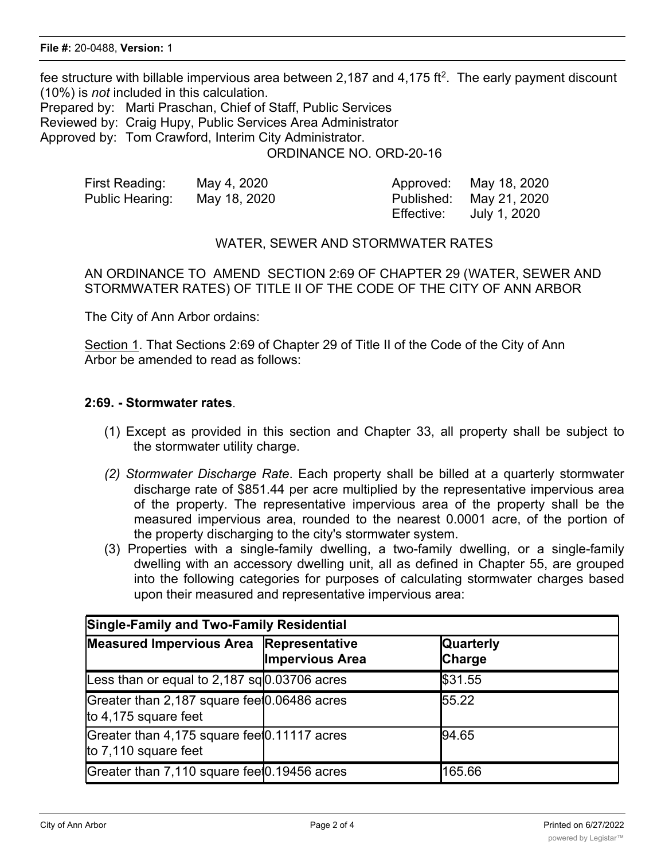fee structure with billable impervious area between 2,187 and 4,175 ft<sup>2</sup>. The early payment discount (10%) is *not* included in this calculation.

Prepared by: Marti Praschan, Chief of Staff, Public Services

Reviewed by: Craig Hupy, Public Services Area Administrator

Approved by: Tom Crawford, Interim City Administrator.

ORDINANCE NO. ORD-20-16

| First Reading:  | May 4, 2020  |            | Approved: May 18, 2020  |
|-----------------|--------------|------------|-------------------------|
| Public Hearing: | May 18, 2020 |            | Published: May 21, 2020 |
|                 |              | Effective: | July 1, 2020            |

#### WATER, SEWER AND STORMWATER RATES

AN ORDINANCE TO AMEND SECTION 2:69 OF CHAPTER 29 (WATER, SEWER AND STORMWATER RATES) OF TITLE II OF THE CODE OF THE CITY OF ANN ARBOR

The City of Ann Arbor ordains:

Section 1. That Sections 2:69 of Chapter 29 of Title II of the Code of the City of Ann Arbor be amended to read as follows:

#### **2:69. - Stormwater rates**.

- (1) Except as provided in this section and Chapter 33, all property shall be subject to the stormwater utility charge.
- *(2) Stormwater Discharge Rate*. Each property shall be billed at a quarterly stormwater discharge rate of \$851.44 per acre multiplied by the representative impervious area of the property. The representative impervious area of the property shall be the measured impervious area, rounded to the nearest 0.0001 acre, of the portion of the property discharging to the city's stormwater system.
- (3) Properties with a single-family dwelling, a two-family dwelling, or a single-family dwelling with an accessory dwelling unit, all as defined in Chapter 55, are grouped into the following categories for purposes of calculating stormwater charges based upon their measured and representative impervious area:

| <b>Single-Family and Two-Family Residential</b>                      |                        |                            |  |  |  |
|----------------------------------------------------------------------|------------------------|----------------------------|--|--|--|
| Measured Impervious Area Representative                              | <b>Impervious Area</b> | <b>Quarterly</b><br>Charge |  |  |  |
| Less than or equal to 2,187 sq $\vert 0.03706$ acres                 |                        | \$31.55                    |  |  |  |
| Greater than 2,187 square feet0.06486 acres<br>to 4,175 square feet  |                        | 55.22                      |  |  |  |
| Greater than 4,175 square feet 0.11117 acres<br>to 7,110 square feet |                        | 94.65                      |  |  |  |
| Greater than 7,110 square feet 0.19456 acres                         |                        | 165.66                     |  |  |  |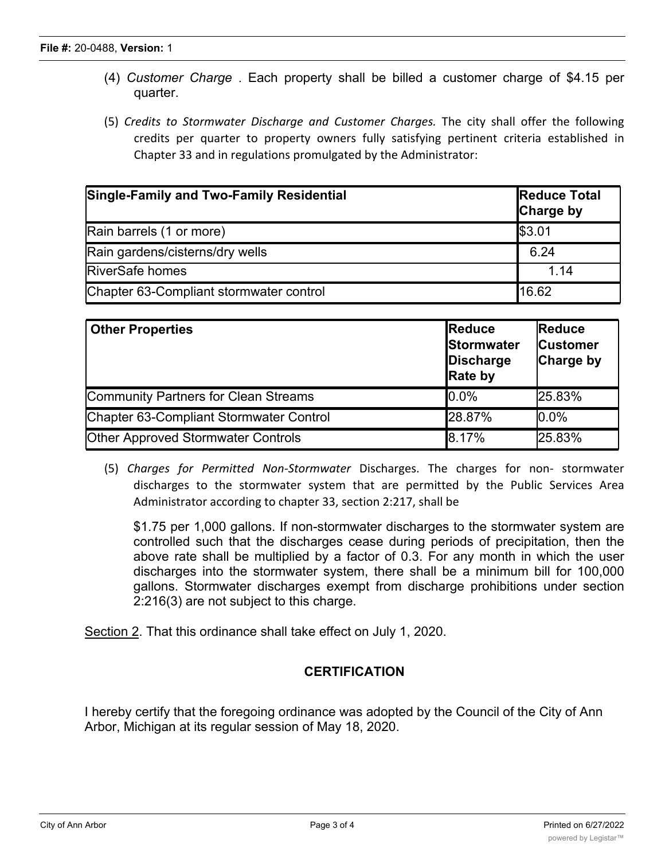- (4) *Customer Charge* . Each property shall be billed a customer charge of \$4.15 per quarter.
- (5) *Credits to Stormwater Discharge and Customer Charges.* The city shall offer the following credits per quarter to property owners fully satisfying pertinent criteria established in Chapter 33 and in regulations promulgated by the Administrator:

| Single-Family and Two-Family Residential | <b>Reduce Total</b><br><b>Charge by</b> |
|------------------------------------------|-----------------------------------------|
| Rain barrels (1 or more)                 | \$3.01                                  |
| Rain gardens/cisterns/dry wells          | 6.24                                    |
| <b>RiverSafe homes</b>                   | 1.14                                    |
| Chapter 63-Compliant stormwater control  | 16.62                                   |

| <b>Other Properties</b>                   | Reduce<br>Stormwater<br>Discharge<br><b>Rate by</b> | <b>Reduce</b><br><b>Customer</b><br>Charge by |
|-------------------------------------------|-----------------------------------------------------|-----------------------------------------------|
| Community Partners for Clean Streams      | $0.0\%$                                             | 25.83%                                        |
| Chapter 63-Compliant Stormwater Control   | 28.87%                                              | 0.0%                                          |
| <b>Other Approved Stormwater Controls</b> | 8.17%                                               | 25.83%                                        |

(5) *Charges for Permitted Non-Stormwater* Discharges. The charges for non- stormwater discharges to the stormwater system that are permitted by the Public Services Area Administrator according to chapter 33, section 2:217, shall be

\$1.75 per 1,000 gallons. If non-stormwater discharges to the stormwater system are controlled such that the discharges cease during periods of precipitation, then the above rate shall be multiplied by a factor of 0.3. For any month in which the user discharges into the stormwater system, there shall be a minimum bill for 100,000 gallons. Stormwater discharges exempt from discharge prohibitions under section 2:216(3) are not subject to this charge.

Section 2. That this ordinance shall take effect on July 1, 2020.

### **CERTIFICATION**

I hereby certify that the foregoing ordinance was adopted by the Council of the City of Ann Arbor, Michigan at its regular session of May 18, 2020.